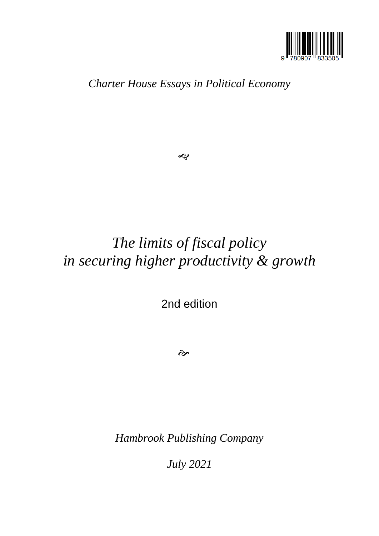

*Charter House Essays in Political Economy*

 $\boldsymbol{\mathcal{S}}$ 

# *The limits of fiscal policy in securing higher productivity & growth*

2nd edition

 $\hat{\sigma}$ 

*Hambrook Publishing Company*

*July 2021*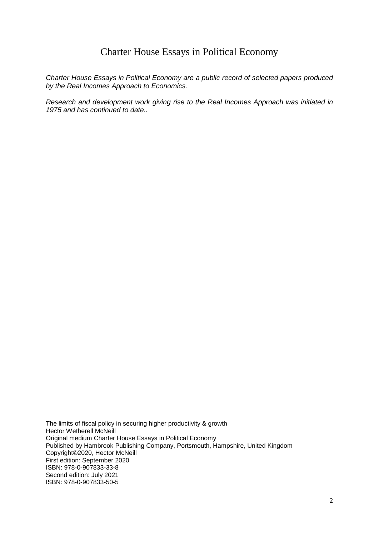### Charter House Essays in Political Economy

*Charter House Essays in Political Economy are a public record of selected papers produced by the Real Incomes Approach to Economics.*

*Research and development work giving rise to the Real Incomes Approach was initiated in 1975 and has continued to date..*

The limits of fiscal policy in securing higher productivity & growth Hector Wetherell McNeill Original medium Charter House Essays in Political Economy Published by Hambrook Publishing Company, Portsmouth, Hampshire, United Kingdom Copyright©2020, Hector McNeill First edition: September 2020 ISBN: 978-0-907833-33-8 Second edition: July 2021 ISBN: 978-0-907833-50-5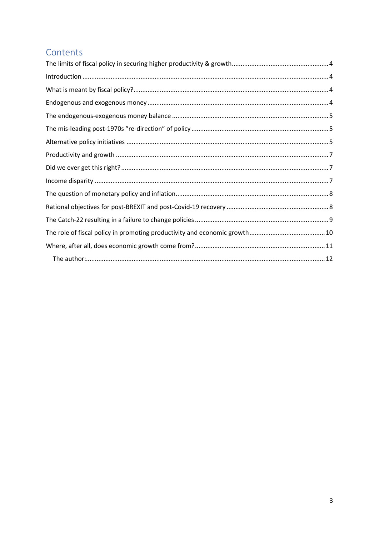# Contents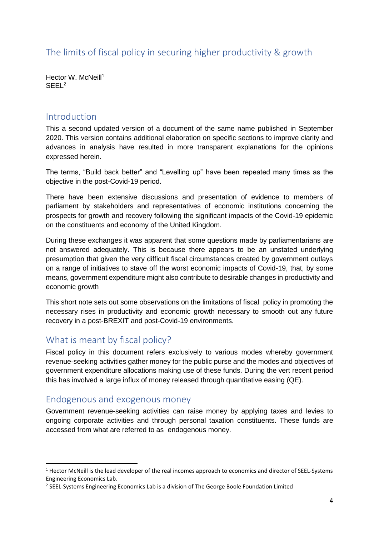<span id="page-3-0"></span>The limits of fiscal policy in securing higher productivity & growth

Hector W. McNeill<sup>1</sup> SEEL<sup>2</sup>

#### <span id="page-3-1"></span>Introduction

This a second updated version of a document of the same name published in September 2020. This version contains additional elaboration on specific sections to improve clarity and advances in analysis have resulted in more transparent explanations for the opinions expressed herein.

The terms, "Build back better" and "Levelling up" have been repeated many times as the objective in the post-Covid-19 period.

There have been extensive discussions and presentation of evidence to members of parliament by stakeholders and representatives of economic institutions concerning the prospects for growth and recovery following the significant impacts of the Covid-19 epidemic on the constituents and economy of the United Kingdom.

During these exchanges it was apparent that some questions made by parliamentarians are not answered adequately. This is because there appears to be an unstated underlying presumption that given the very difficult fiscal circumstances created by government outlays on a range of initiatives to stave off the worst economic impacts of Covid-19, that, by some means, government expenditure might also contribute to desirable changes in productivity and economic growth

This short note sets out some observations on the limitations of fiscal policy in promoting the necessary rises in productivity and economic growth necessary to smooth out any future recovery in a post-BREXIT and post-Covid-19 environments.

# <span id="page-3-2"></span>What is meant by fiscal policy?

Fiscal policy in this document refers exclusively to various modes whereby government revenue-seeking activities gather money for the public purse and the modes and objectives of government expenditure allocations making use of these funds. During the vert recent period this has involved a large influx of money released through quantitative easing (QE).

# <span id="page-3-3"></span>Endogenous and exogenous money

**.** 

Government revenue-seeking activities can raise money by applying taxes and levies to ongoing corporate activities and through personal taxation constituents. These funds are accessed from what are referred to as endogenous money.

 $1$  Hector McNeill is the lead developer of the real incomes approach to economics and director of SEEL-Systems Engineering Economics Lab.

<sup>&</sup>lt;sup>2</sup> SEEL-Systems Engineering Economics Lab is a division of The George Boole Foundation Limited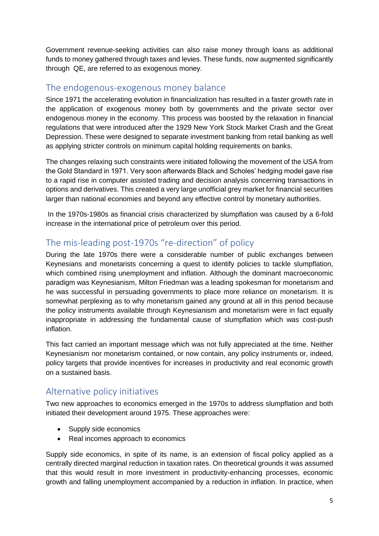Government revenue-seeking activities can also raise money through loans as additional funds to money gathered through taxes and levies. These funds, now augmented significantly through QE, are referred to as exogenous money.

#### <span id="page-4-0"></span>The endogenous-exogenous money balance

Since 1971 the accelerating evolution in financialization has resulted in a faster growth rate in the application of exogenous money both by governments and the private sector over endogenous money in the economy. This process was boosted by the relaxation in financial regulations that were introduced after the 1929 New York Stock Market Crash and the Great Depression. These were designed to separate investment banking from retail banking as well as applying stricter controls on minimum capital holding requirements on banks.

The changes relaxing such constraints were initiated following the movement of the USA from the Gold Standard in 1971. Very soon afterwards Black and Scholes' hedging model gave rise to a rapid rise in computer assisted trading and decision analysis concerning transactions in options and derivatives. This created a very large unofficial grey market for financial securities larger than national economies and beyond any effective control by monetary authorities.

In the 1970s-1980s as financial crisis characterized by slumpflation was caused by a 6-fold increase in the international price of petroleum over this period.

# <span id="page-4-1"></span>The mis-leading post-1970s "re-direction" of policy

During the late 1970s there were a considerable number of public exchanges between Keynesians and monetarists concerning a quest to identify policies to tackle slumpflation, which combined rising unemployment and inflation. Although the dominant macroeconomic paradigm was Keynesianism, Milton Friedman was a leading spokesman for monetarism and he was successful in persuading governments to place more reliance on monetarism. It is somewhat perplexing as to why monetarism gained any ground at all in this period because the policy instruments available through Keynesianism and monetarism were in fact equally inappropriate in addressing the fundamental cause of slumpflation which was cost-push inflation.

This fact carried an important message which was not fully appreciated at the time. Neither Keynesianism nor monetarism contained, or now contain, any policy instruments or, indeed, policy targets that provide incentives for increases in productivity and real economic growth on a sustained basis.

# <span id="page-4-2"></span>Alternative policy initiatives

Two new approaches to economics emerged in the 1970s to address slumpflation and both initiated their development around 1975. These approaches were:

- Supply side economics
- Real incomes approach to economics

Supply side economics, in spite of its name, is an extension of fiscal policy applied as a centrally directed marginal reduction in taxation rates. On theoretical grounds it was assumed that this would result in more investment in productivity-enhancing processes, economic growth and falling unemployment accompanied by a reduction in inflation. In practice, when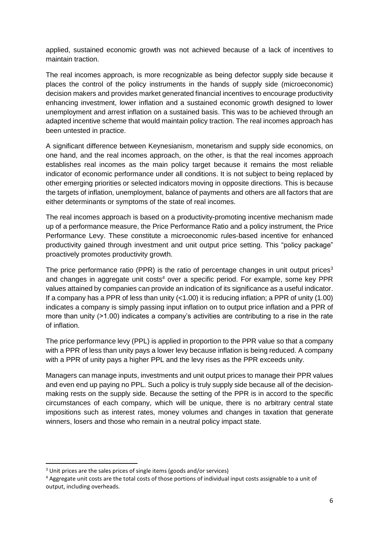applied, sustained economic growth was not achieved because of a lack of incentives to maintain traction.

The real incomes approach, is more recognizable as being defector supply side because it places the control of the policy instruments in the hands of supply side (microeconomic) decision makers and provides market generated financial incentives to encourage productivity enhancing investment, lower inflation and a sustained economic growth designed to lower unemployment and arrest inflation on a sustained basis. This was to be achieved through an adapted incentive scheme that would maintain policy traction. The real incomes approach has been untested in practice.

A significant difference between Keynesianism, monetarism and supply side economics, on one hand, and the real incomes approach, on the other, is that the real incomes approach establishes real incomes as the main policy target because it remains the most reliable indicator of economic performance under all conditions. It is not subject to being replaced by other emerging priorities or selected indicators moving in opposite directions. This is because the targets of inflation, unemployment, balance of payments and others are all factors that are either determinants or symptoms of the state of real incomes.

The real incomes approach is based on a productivity-promoting incentive mechanism made up of a performance measure, the Price Performance Ratio and a policy instrument, the Price Performance Levy. These constitute a microeconomic rules-based incentive for enhanced productivity gained through investment and unit output price setting. This "policy package" proactively promotes productivity growth.

The price performance ratio (PPR) is the ratio of percentage changes in unit output prices<sup>3</sup> and changes in aggregate unit costs<sup>4</sup> over a specific period. For example, some key PPR values attained by companies can provide an indication of its significance as a useful indicator. If a company has a PPR of less than unity  $( $1.00$ )$  it is reducing inflation; a PPR of unity (1.00) indicates a company is simply passing input inflation on to output price inflation and a PPR of more than unity (>1.00) indicates a company's activities are contributing to a rise in the rate of inflation.

The price performance levy (PPL) is applied in proportion to the PPR value so that a company with a PPR of less than unity pays a lower levy because inflation is being reduced. A company with a PPR of unity pays a higher PPL and the levy rises as the PPR exceeds unity.

Managers can manage inputs, investments and unit output prices to manage their PPR values and even end up paying no PPL. Such a policy is truly supply side because all of the decisionmaking rests on the supply side. Because the setting of the PPR is in accord to the specific circumstances of each company, which will be unique, there is no arbitrary central state impositions such as interest rates, money volumes and changes in taxation that generate winners, losers and those who remain in a neutral policy impact state.

**.** 

<sup>&</sup>lt;sup>3</sup> Unit prices are the sales prices of single items (goods and/or services)

<sup>4</sup> Aggregate unit costs are the total costs of those portions of individual input costs assignable to a unit of output, including overheads.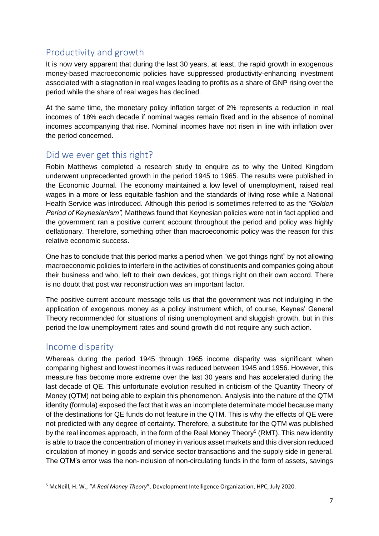# <span id="page-6-0"></span>Productivity and growth

It is now very apparent that during the last 30 years, at least, the rapid growth in exogenous money-based macroeconomic policies have suppressed productivity-enhancing investment associated with a stagnation in real wages leading to profits as a share of GNP rising over the period while the share of real wages has declined.

At the same time, the monetary policy inflation target of 2% represents a reduction in real incomes of 18% each decade if nominal wages remain fixed and in the absence of nominal incomes accompanying that rise. Nominal incomes have not risen in line with inflation over the period concerned.

#### <span id="page-6-1"></span>Did we ever get this right?

Robin Matthews completed a research study to enquire as to why the United Kingdom underwent unprecedented growth in the period 1945 to 1965. The results were published in the Economic Journal. The economy maintained a low level of unemployment, raised real wages in a more or less equitable fashion and the standards of living rose while a National Health Service was introduced. Although this period is sometimes referred to as the *"Golden Period of Keynesianism",* Matthews found that Keynesian policies were not in fact applied and the government ran a positive current account throughout the period and policy was highly deflationary. Therefore, something other than macroeconomic policy was the reason for this relative economic success.

One has to conclude that this period marks a period when "we got things right" by not allowing macroeconomic policies to interfere in the activities of constituents and companies going about their business and who, left to their own devices, got things right on their own accord. There is no doubt that post war reconstruction was an important factor.

The positive current account message tells us that the government was not indulging in the application of exogenous money as a policy instrument which, of course, Keynes' General Theory recommended for situations of rising unemployment and sluggish growth, but in this period the low unemployment rates and sound growth did not require any such action.

#### <span id="page-6-2"></span>Income disparity

**.** 

Whereas during the period 1945 through 1965 income disparity was significant when comparing highest and lowest incomes it was reduced between 1945 and 1956. However, this measure has become more extreme over the last 30 years and has accelerated during the last decade of QE. This unfortunate evolution resulted in criticism of the Quantity Theory of Money (QTM) not being able to explain this phenomenon. Analysis into the nature of the QTM identity (formula) exposed the fact that it was an incomplete determinate model because many of the destinations for QE funds do not feature in the QTM. This is why the effects of QE were not predicted with any degree of certainty. Therefore, a substitute for the QTM was published by the real incomes approach, in the form of the Real Money Theory<sup>5</sup> (RMT). This new identity is able to trace the concentration of money in various asset markets and this diversion reduced circulation of money in goods and service sector transactions and the supply side in general. The QTM's error was the non-inclusion of non-circulating funds in the form of assets, savings

<sup>5</sup> McNeill, H. W., "*A Real Money Theory*", Development Intelligence Organization, HPC, July 2020.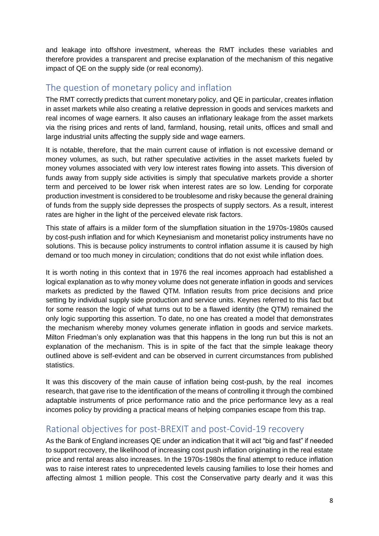and leakage into offshore investment, whereas the RMT includes these variables and therefore provides a transparent and precise explanation of the mechanism of this negative impact of QE on the supply side (or real economy).

### <span id="page-7-0"></span>The question of monetary policy and inflation

The RMT correctly predicts that current monetary policy, and QE in particular, creates inflation in asset markets while also creating a relative depression in goods and services markets and real incomes of wage earners. It also causes an inflationary leakage from the asset markets via the rising prices and rents of land, farmland, housing, retail units, offices and small and large industrial units affecting the supply side and wage earners.

It is notable, therefore, that the main current cause of inflation is not excessive demand or money volumes, as such, but rather speculative activities in the asset markets fueled by money volumes associated with very low interest rates flowing into assets. This diversion of funds away from supply side activities is simply that speculative markets provide a shorter term and perceived to be lower risk when interest rates are so low. Lending for corporate production investment is considered to be troublesome and risky because the general draining of funds from the supply side depresses the prospects of supply sectors. As a result, interest rates are higher in the light of the perceived elevate risk factors.

This state of affairs is a milder form of the slumpflation situation in the 1970s-1980s caused by cost-push inflation and for which Keynesianism and monetarist policy instruments have no solutions. This is because policy instruments to control inflation assume it is caused by high demand or too much money in circulation; conditions that do not exist while inflation does.

It is worth noting in this context that in 1976 the real incomes approach had established a logical explanation as to why money volume does not generate inflation in goods and services markets as predicted by the flawed QTM. Inflation results from price decisions and price setting by individual supply side production and service units. Keynes referred to this fact but for some reason the logic of what turns out to be a flawed identity (the QTM) remained the only logic supporting this assertion. To date, no one has created a model that demonstrates the mechanism whereby money volumes generate inflation in goods and service markets. Milton Friedman's only explanation was that this happens in the long run but this is not an explanation of the mechanism. This is in spite of the fact that the simple leakage theory outlined above is self-evident and can be observed in current circumstances from published statistics.

It was this discovery of the main cause of inflation being cost-push, by the real incomes research, that gave rise to the identification of the means of controlling it through the combined adaptable instruments of price performance ratio and the price performance levy as a real incomes policy by providing a practical means of helping companies escape from this trap.

# <span id="page-7-1"></span>Rational objectives for post-BREXIT and post-Covid-19 recovery

As the Bank of England increases QE under an indication that it will act "big and fast" if needed to support recovery, the likelihood of increasing cost push inflation originating in the real estate price and rental areas also increases. In the 1970s-1980s the final attempt to reduce inflation was to raise interest rates to unprecedented levels causing families to lose their homes and affecting almost 1 million people. This cost the Conservative party dearly and it was this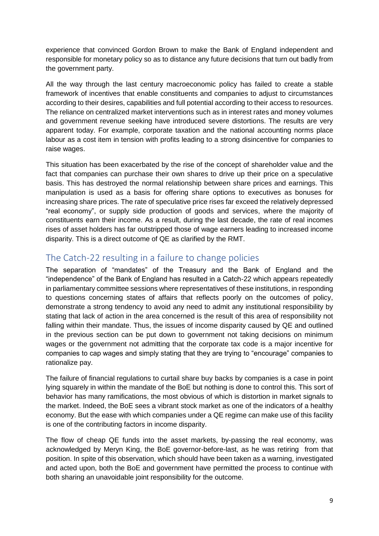experience that convinced Gordon Brown to make the Bank of England independent and responsible for monetary policy so as to distance any future decisions that turn out badly from the government party.

All the way through the last century macroeconomic policy has failed to create a stable framework of incentives that enable constituents and companies to adjust to circumstances according to their desires, capabilities and full potential according to their access to resources. The reliance on centralized market interventions such as in interest rates and money volumes and government revenue seeking have introduced severe distortions. The results are very apparent today. For example, corporate taxation and the national accounting norms place labour as a cost item in tension with profits leading to a strong disincentive for companies to raise wages.

This situation has been exacerbated by the rise of the concept of shareholder value and the fact that companies can purchase their own shares to drive up their price on a speculative basis. This has destroyed the normal relationship between share prices and earnings. This manipulation is used as a basis for offering share options to executives as bonuses for increasing share prices. The rate of speculative price rises far exceed the relatively depressed "real economy", or supply side production of goods and services, where the majority of constituents earn their income. As a result, during the last decade, the rate of real incomes rises of asset holders has far outstripped those of wage earners leading to increased income disparity. This is a direct outcome of QE as clarified by the RMT.

### <span id="page-8-0"></span>The Catch-22 resulting in a failure to change policies

The separation of "mandates" of the Treasury and the Bank of England and the "independence" of the Bank of England has resulted in a Catch-22 which appears repeatedly in parliamentary committee sessions where representatives of these institutions, in responding to questions concerning states of affairs that reflects poorly on the outcomes of policy, demonstrate a strong tendency to avoid any need to admit any institutional responsibility by stating that lack of action in the area concerned is the result of this area of responsibility not falling within their mandate. Thus, the issues of income disparity caused by QE and outlined in the previous section can be put down to government not taking decisions on minimum wages or the government not admitting that the corporate tax code is a major incentive for companies to cap wages and simply stating that they are trying to "encourage" companies to rationalize pay.

The failure of financial regulations to curtail share buy backs by companies is a case in point lying squarely in within the mandate of the BoE but nothing is done to control this. This sort of behavior has many ramifications, the most obvious of which is distortion in market signals to the market. Indeed, the BoE sees a vibrant stock market as one of the indicators of a healthy economy. But the ease with which companies under a QE regime can make use of this facility is one of the contributing factors in income disparity.

The flow of cheap QE funds into the asset markets, by-passing the real economy, was acknowledged by Meryn King, the BoE governor-before-last, as he was retiring from that position. In spite of this observation, which should have been taken as a warning, investigated and acted upon, both the BoE and government have permitted the process to continue with both sharing an unavoidable joint responsibility for the outcome.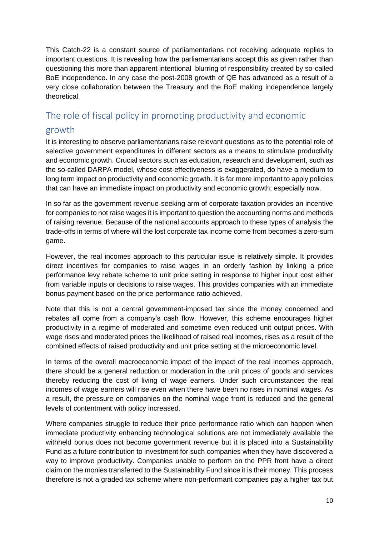This Catch-22 is a constant source of parliamentarians not receiving adequate replies to important questions. It is revealing how the parliamentarians accept this as given rather than questioning this more than apparent intentional blurring of responsibility created by so-called BoE independence. In any case the post-2008 growth of QE has advanced as a result of a very close collaboration between the Treasury and the BoE making independence largely theoretical.

# <span id="page-9-0"></span>The role of fiscal policy in promoting productivity and economic

#### growth

It is interesting to observe parliamentarians raise relevant questions as to the potential role of selective government expenditures in different sectors as a means to stimulate productivity and economic growth. Crucial sectors such as education, research and development, such as the so-called DARPA model, whose cost-effectiveness is exaggerated, do have a medium to long term impact on productivity and economic growth. It is far more important to apply policies that can have an immediate impact on productivity and economic growth; especially now.

In so far as the government revenue-seeking arm of corporate taxation provides an incentive for companies to not raise wages it is important to question the accounting norms and methods of raising revenue. Because of the national accounts approach to these types of analysis the trade-offs in terms of where will the lost corporate tax income come from becomes a zero-sum game.

However, the real incomes approach to this particular issue is relatively simple. It provides direct incentives for companies to raise wages in an orderly fashion by linking a price performance levy rebate scheme to unit price setting in response to higher input cost either from variable inputs or decisions to raise wages. This provides companies with an immediate bonus payment based on the price performance ratio achieved.

Note that this is not a central government-imposed tax since the money concerned and rebates all come from a company's cash flow. However, this scheme encourages higher productivity in a regime of moderated and sometime even reduced unit output prices. With wage rises and moderated prices the likelihood of raised real incomes, rises as a result of the combined effects of raised productivity and unit price setting at the microeconomic level.

In terms of the overall macroeconomic impact of the impact of the real incomes approach, there should be a general reduction or moderation in the unit prices of goods and services thereby reducing the cost of living of wage earners. Under such circumstances the real incomes of wage earners will rise even when there have been no rises in nominal wages. As a result, the pressure on companies on the nominal wage front is reduced and the general levels of contentment with policy increased.

Where companies struggle to reduce their price performance ratio which can happen when immediate productivity enhancing technological solutions are not immediately available the withheld bonus does not become government revenue but it is placed into a Sustainability Fund as a future contribution to investment for such companies when they have discovered a way to improve productivity. Companies unable to perform on the PPR front have a direct claim on the monies transferred to the Sustainability Fund since it is their money. This process therefore is not a graded tax scheme where non-performant companies pay a higher tax but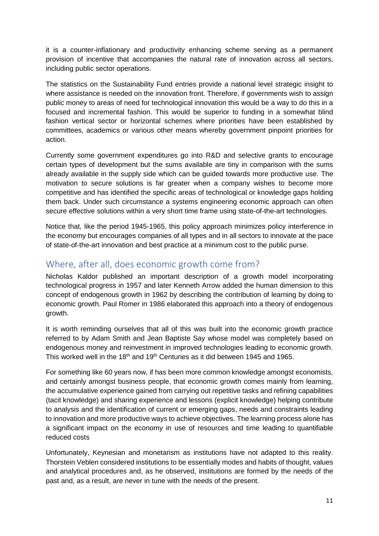it is a counter-inflationary and productivity enhancing scheme serving as a permanent provision of incentive that accompanies the natural rate of innovation across all sectors, including public sector operations.

The statistics on the Sustainability Fund entries provide a national level strategic insight to where assistance is needed on the innovation front. Therefore, if governments wish to assign public money to areas of need for technological innovation this would be a way to do this in a focused and incremental fashion. This would be superior to funding in a somewhat blind fashion vertical sector or horizontal schemes where priorities have been established by committees, academics or various other means whereby government pinpoint priorities for action.

Currently some government expenditures go into R&D and selective grants to encourage certain types of development but the sums available are tiny in comparison with the sums already available in the supply side which can be guided towards more productive use. The motivation to secure solutions is far greater when a company wishes to become more competitive and has identified the specific areas of technological or knowledge gaps holding them back. Under such circumstance a systems engineering economic approach can often secure effective solutions within a very short time frame using state-of-the-art technologies.

Notice that, like the period 1945-1965, this policy approach minimizes policy interference in the economy but encourages companies of all types and in all sectors to innovate at the pace of state-of-the-art innovation and best practice at a minimum cost to the public purse.

# <span id="page-10-0"></span>Where, after all, does economic growth come from?

Nicholas Kaldor published an important description of a growth model incorporating technological progress in 1957 and later Kenneth Arrow added the human dimension to this concept of endogenous growth in 1962 by describing the contribution of learning by doing to economic growth. Paul Romer in 1986 elaborated this approach into a theory of endogenous growth.

It is worth reminding ourselves that all of this was built into the economic growth practice referred to by Adam Smith and Jean Baptiste Say whose model was completely based on endogenous money and reinvestment in improved technologies leading to economic growth. This worked well in the 18<sup>th</sup> and 19<sup>th</sup> Centuries as it did between 1945 and 1965.

For something like 60 years now, if has been more common knowledge amongst economists, and certainly amongst business people, that economic growth comes mainly from learning, the accumulative experience gained from carrying out repetitive tasks and refining capabilities (tacit knowledge) and sharing experience and lessons (explicit knowledge) helping contribute to analysis and the identification of current or emerging gaps, needs and constraints leading to innovation and more productive ways to achieve objectives. The learning process alone has a significant impact on the economy in use of resources and time leading to quantifiable reduced costs

Unfortunately, Keynesian and monetarism as institutions have not adapted to this reality. Thorstein Veblen considered institutions to be essentially modes and habits of thought, values and analytical procedures and, as he observed, institutions are formed by the needs of the past and, as a result, are never in tune with the needs of the present.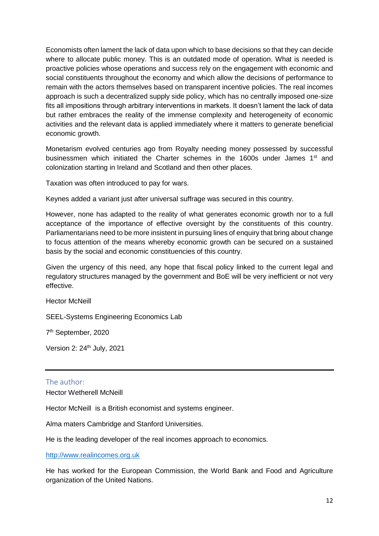Economists often lament the lack of data upon which to base decisions so that they can decide where to allocate public money. This is an outdated mode of operation. What is needed is proactive policies whose operations and success rely on the engagement with economic and social constituents throughout the economy and which allow the decisions of performance to remain with the actors themselves based on transparent incentive policies. The real incomes approach is such a decentralized supply side policy, which has no centrally imposed one-size fits all impositions through arbitrary interventions in markets. It doesn't lament the lack of data but rather embraces the reality of the immense complexity and heterogeneity of economic activities and the relevant data is applied immediately where it matters to generate beneficial economic growth.

Monetarism evolved centuries ago from Royalty needing money possessed by successful businessmen which initiated the Charter schemes in the 1600s under James 1<sup>st</sup> and colonization starting in Ireland and Scotland and then other places.

Taxation was often introduced to pay for wars.

Keynes added a variant just after universal suffrage was secured in this country.

However, none has adapted to the reality of what generates economic growth nor to a full acceptance of the importance of effective oversight by the constituents of this country. Parliamentarians need to be more insistent in pursuing lines of enquiry that bring about change to focus attention of the means whereby economic growth can be secured on a sustained basis by the social and economic constituencies of this country.

Given the urgency of this need, any hope that fiscal policy linked to the current legal and regulatory structures managed by the government and BoE will be very inefficient or not very effective.

Hector McNeill

SEEL-Systems Engineering Economics Lab

7<sup>th</sup> September, 2020

Version 2: 24<sup>th</sup> July, 2021

#### <span id="page-11-0"></span>The author:

Hector Wetherell McNeill

Hector McNeill is a British economist and systems engineer.

Alma maters Cambridge and Stanford Universities.

He is the leading developer of the real incomes approach to economics.

[http://www.realincomes.org.uk](http://www.realincomes.org.uk/)

He has worked for the European Commission, the World Bank and Food and Agriculture organization of the United Nations.